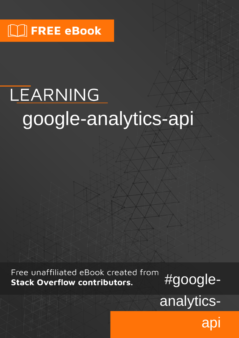# LEARNING google-analytics-api

Free unaffiliated eBook created from **Stack Overflow contributors.** 

#googleanalytics-

api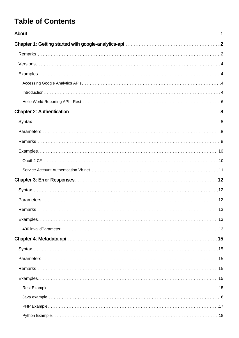### **Table of Contents**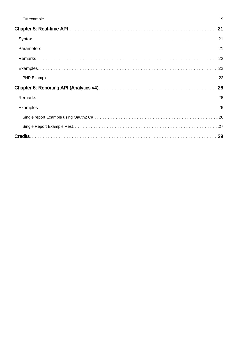| 21 |
|----|
|    |
|    |
|    |
|    |
|    |
|    |
|    |
|    |
| 29 |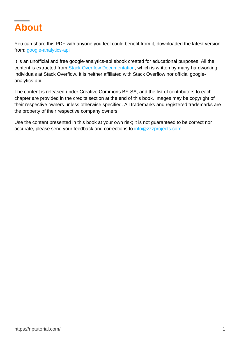<span id="page-3-0"></span>

You can share this PDF with anyone you feel could benefit from it, downloaded the latest version from: [google-analytics-api](http://riptutorial.com/ebook/google-analytics-api)

It is an unofficial and free google-analytics-api ebook created for educational purposes. All the content is extracted from [Stack Overflow Documentation](https://archive.org/details/documentation-dump.7z), which is written by many hardworking individuals at Stack Overflow. It is neither affiliated with Stack Overflow nor official googleanalytics-api.

The content is released under Creative Commons BY-SA, and the list of contributors to each chapter are provided in the credits section at the end of this book. Images may be copyright of their respective owners unless otherwise specified. All trademarks and registered trademarks are the property of their respective company owners.

Use the content presented in this book at your own risk; it is not guaranteed to be correct nor accurate, please send your feedback and corrections to [info@zzzprojects.com](mailto:info@zzzprojects.com)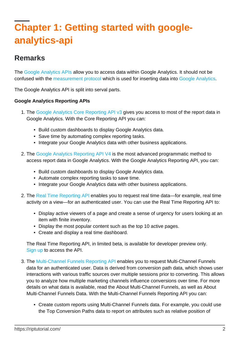## <span id="page-4-0"></span>**Chapter 1: Getting started with googleanalytics-api**

### <span id="page-4-1"></span>**Remarks**

The [Google Analytics APIs](https://developers.google.com/analytics/devguides/reporting/) allow you to access data within Google Analytics. It should not be confused with the [measurement protocol](https://developers.google.com/analytics/devguides/collection/protocol/v1/?hl=en) which is used for inserting data into [Google Analytics](https://analytics.google.com/analytics/web/).

The Google Analytics API is split into serval parts.

#### **Google Analytics Reporting APIs**

- 1. The [Google Analytics Core Reporting API v3](https://developers.google.com/analytics/devguides/reporting/core/v3/) gives you access to most of the report data in Google Analytics. With the Core Reporting API you can:
	- Build custom dashboards to display Google Analytics data.
	- Save time by automating complex reporting tasks.
	- Integrate your Google Analytics data with other business applications.
- 2. The [Google Analytics Reporting API V4](https://developers.google.com/analytics/devguides/reporting/core/v4/) is the most advanced programmatic method to access report data in Google Analytics. With the Google Analytics Reporting API, you can:
	- Build custom dashboards to display Google Analytics data.
	- Automate complex reporting tasks to save time.
	- Integrate your Google Analytics data with other business applications.
- 2. The [Real Time Reporting API](https://developers.google.com/analytics/devguides/reporting/realtime/v3/) enables you to request real time data—for example, real time activity on a view—for an authenticated user. You can use the Real Time Reporting API to:
	- Display active viewers of a page and create a sense of urgency for users looking at an item with finite inventory.
	- Display the most popular content such as the top 10 active pages.
	- Create and display a real time dashboard.

The Real Time Reporting API, in limited beta, is available for developer preview only. [Sign up](https://docs.google.com/forms/d/e/1FAIpQLSc9OpoDGB3tBD7oy1OG9fyum8KBIxs-2ihPCsHp13WTnM-SSQ/viewform) to access the API.

- 3. The [Multi-Channel Funnels Reporting API](https://developers.google.com/analytics/devguides/reporting/mcf/v3/) enables you to request Multi-Channel Funnels data for an authenticated user. Data is derived from conversion path data, which shows user interactions with various traffic sources over multiple sessions prior to converting. This allows you to analyze how multiple marketing channels influence conversions over time. For more details on what data is available, read the About Multi-Channel Funnels, as well as About Multi-Channel Funnels Data. With the Multi-Channel Funnels Reporting API you can:
	- Create custom reports using Multi-Channel Funnels data. For example, you could use the Top Conversion Paths data to report on attributes such as relative position of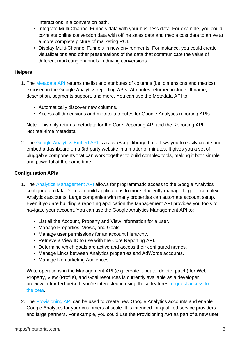interactions in a conversion path.

- Integrate Multi-Channel Funnels data with your business data. For example, you could correlate online conversion data with offline sales data and media cost data to arrive at a more complete picture of marketing ROI.
- Display Multi-Channel Funnels in new environments. For instance, you could create visualizations and other presentations of the data that communicate the value of different marketing channels in driving conversions.

### **Helpers**

- 1. The [Metadata API](https://developers.google.com/analytics/devguides/reporting/metadata/v3/) returns the list and attributes of columns (i.e. dimensions and metrics) exposed in the Google Analytics reporting APIs. Attributes returned include UI name, description, segments support, and more. You can use the Metadata API to:
	- Automatically discover new columns.
	- Access all dimensions and metrics attributes for Google Analytics reporting APIs.

Note: This only returns metadata for the Core Reporting API and the Reporting API. Not real-time metadata.

2. The [Google Analytics Embed API](https://developers.google.com/analytics/devguides/reporting/embed/v1/) is a JavaScript library that allows you to easily create and embed a dashboard on a 3rd party website in a matter of minutes. It gives you a set of pluggable components that can work together to build complex tools, making it both simple and powerful at the same time.

### **Configuration APIs**

- 1. The [Analytics Management API](https://developers.google.com/analytics/devguides/config/mgmt/v3/) allows for programmatic access to the Google Analytics configuration data. You can build applications to more efficiently manage large or complex Analytics accounts. Large companies with many properties can automate account setup. Even if you are building a reporting application the Management API provides you tools to navigate your account. You can use the Google Analytics Management API to:
	- List all the Account, Property and View information for a user.
	- Manage Properties, Views, and Goals.
	- Manage user permissions for an account hierarchy.
	- Retrieve a View ID to use with the Core Reporting API.
	- Determine which goals are active and access their configured names.
	- Manage Links between Analytics properties and AdWords accounts.
	- Manage Remarketing Audiences.

Write operations in the Management API (e.g. create, update, delete, patch) for Web Property, View (Profile), and Goal resources is currently available as a developer preview in **limited beta**. If you're interested in using these features, [request access to](https://docs.google.com/forms/d/e/1FAIpQLSf01NWo9R-SOHLKDUH0U4gWHNDBIY-gEI-zqBMG1Hyh3_hHZw/viewform) [the beta](https://docs.google.com/forms/d/e/1FAIpQLSf01NWo9R-SOHLKDUH0U4gWHNDBIY-gEI-zqBMG1Hyh3_hHZw/viewform).

2. The [Provisioning API](https://developers.google.com/analytics/devguides/config/provisioning/v3/) can be used to create new Google Analytics accounts and enable Google Analytics for your customers at scale. It is intended for qualified service providers and large partners. For example, you could use the Provisioning API as part of a new user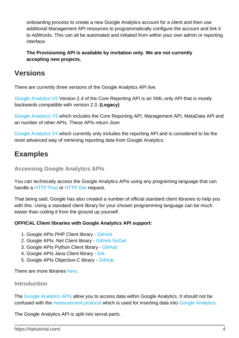onboarding process to create a new Google Analytics account for a client and then use additional Management API resources to programmatically configure the account and link it to AdWords. This can all be automated and initiated from within your own admin or reporting interface.

**The Provisioning API is available by invitation only. We are not currently accepting new projects.**

### <span id="page-6-0"></span>**Versions**

There are currently three versions of the Google Analytics API live.

[Google Analytics V2](https://developers.google.com/analytics/devguides/reporting/core/v2/) Version 2.4 of the Core Reporting API is an XML-only API that is mostly backwards compatible with version 2.3. **(Legacy)**

[Google Analytics V3](https://developers.google.com/analytics/devguides/reporting/core/v3/) which includes the Core Reporting API, Management API, MetaData API and an number of other APIs. These APIs return Json

[Google Analytics V4](https://developers.google.com/analytics/devguides/reporting/core/v4/) which currently only includes the reporting API and is considered to be the most advanced way of retrieving reporting data from Google Analytics.

### <span id="page-6-1"></span>**Examples**

<span id="page-6-2"></span>**Accessing Google Analytics APIs**

You can technically access the Google Analytics APIs using any programing language that can handle a [HTTP Post](https://en.wikipedia.org/wiki/POST_(HTTP)) or [HTTP Get](https://en.wikipedia.org/wiki/Hypertext_Transfer_Protocol#Request_methods) request.

That being said, Google has also created a number of official standard client libraries to help you with this. Using a standard client library for your chosen programming language can be much easier than coding it from the ground up yourself.

### **OFFICAL Client libraries with Google Analytics API support:**

- 1. Google APIs PHP Client library - [GitHub](https://github.com/google/google-api-php-client)
- 2. Google APIs .Net Client library - [GitHub](https://github.com/google/google-api-dotnet-client) [NuGet](https://www.nuget.org/profiles/google-apis-packages)
- 3. Google APIs Python Client library [GitHub](https://github.com/google/google-api-python-client)
- 4. Google APIs Java Client library [link](https://developers.google.com/api-client-library/java/)
- 5. Google APIs Objective-C library - [GitHub](https://github.com/google/google-api-objectivec-client)

<span id="page-6-3"></span>There are more libraries [here](http://Google%20APIs%20Client%20Libraries).

### **Introduction**

The [Google Analytics APIs](https://developers.google.com/analytics/devguides/reporting/) allow you to access data within Google Analytics. It should not be confused with the [measurement protocol](https://developers.google.com/analytics/devguides/collection/protocol/v1/?hl=en) which is used for inserting data into [Google Analytics](https://analytics.google.com/analytics/web/).

The Google Analytics API is split into serval parts.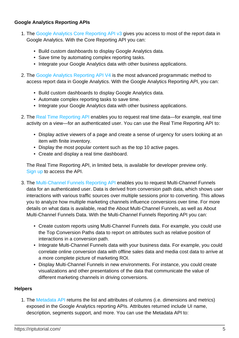### **Google Analytics Reporting APIs**

- 1. The [Google Analytics Core Reporting API v3](https://developers.google.com/analytics/devguides/reporting/core/v3/) gives you access to most of the report data in Google Analytics. With the Core Reporting API you can:
	- Build custom dashboards to display Google Analytics data.
	- Save time by automating complex reporting tasks.
	- Integrate your Google Analytics data with other business applications.
- 2. The [Google Analytics Reporting API V4](https://developers.google.com/analytics/devguides/reporting/core/v4/) is the most advanced programmatic method to access report data in Google Analytics. With the Google Analytics Reporting API, you can:
	- Build custom dashboards to display Google Analytics data.
	- Automate complex reporting tasks to save time.
	- Integrate your Google Analytics data with other business applications.
- 2. The [Real Time Reporting API](https://developers.google.com/analytics/devguides/reporting/realtime/v3/) enables you to request real time data—for example, real time activity on a view—for an authenticated user. You can use the Real Time Reporting API to:
	- Display active viewers of a page and create a sense of urgency for users looking at an item with finite inventory.
	- Display the most popular content such as the top 10 active pages.
	- Create and display a real time dashboard.

The Real Time Reporting API, in limited beta, is available for developer preview only. [Sign up](https://docs.google.com/forms/d/e/1FAIpQLSc9OpoDGB3tBD7oy1OG9fyum8KBIxs-2ihPCsHp13WTnM-SSQ/viewform) to access the API.

- 3. The [Multi-Channel Funnels Reporting API](https://developers.google.com/analytics/devguides/reporting/mcf/v3/) enables you to request Multi-Channel Funnels data for an authenticated user. Data is derived from conversion path data, which shows user interactions with various traffic sources over multiple sessions prior to converting. This allows you to analyze how multiple marketing channels influence conversions over time. For more details on what data is available, read the About Multi-Channel Funnels, as well as About Multi-Channel Funnels Data. With the Multi-Channel Funnels Reporting API you can:
	- Create custom reports using Multi-Channel Funnels data. For example, you could use the Top Conversion Paths data to report on attributes such as relative position of interactions in a conversion path.
	- Integrate Multi-Channel Funnels data with your business data. For example, you could correlate online conversion data with offline sales data and media cost data to arrive at a more complete picture of marketing ROI.
	- Display Multi-Channel Funnels in new environments. For instance, you could create visualizations and other presentations of the data that communicate the value of different marketing channels in driving conversions.

### **Helpers**

1. The [Metadata API](https://developers.google.com/analytics/devguides/reporting/metadata/v3/) returns the list and attributes of columns (i.e. dimensions and metrics) exposed in the Google Analytics reporting APIs. Attributes returned include UI name, description, segments support, and more. You can use the Metadata API to: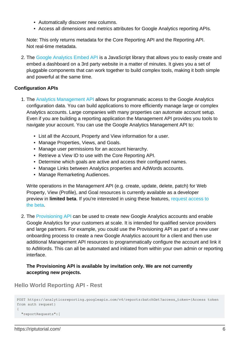- Automatically discover new columns.
- Access all dimensions and metrics attributes for Google Analytics reporting APIs.

Note: This only returns metadata for the Core Reporting API and the Reporting API. Not real-time metadata.

2. The [Google Analytics Embed API](https://developers.google.com/analytics/devguides/reporting/embed/v1/) is a JavaScript library that allows you to easily create and embed a dashboard on a 3rd party website in a matter of minutes. It gives you a set of pluggable components that can work together to build complex tools, making it both simple and powerful at the same time.

#### **Configuration APIs**

- 1. The [Analytics Management API](https://developers.google.com/analytics/devguides/config/mgmt/v3/) allows for programmatic access to the Google Analytics configuration data. You can build applications to more efficiently manage large or complex Analytics accounts. Large companies with many properties can automate account setup. Even if you are building a reporting application the Management API provides you tools to navigate your account. You can use the Google Analytics Management API to:
	- List all the Account, Property and View information for a user.
	- Manage Properties, Views, and Goals.
	- Manage user permissions for an account hierarchy.
	- Retrieve a View ID to use with the Core Reporting API.
	- Determine which goals are active and access their configured names.
	- Manage Links between Analytics properties and AdWords accounts.
	- Manage Remarketing Audiences.

Write operations in the Management API (e.g. create, update, delete, patch) for Web Property, View (Profile), and Goal resources is currently available as a developer preview in **limited beta**. If you're interested in using these features, [request access to](https://docs.google.com/forms/d/e/1FAIpQLSf01NWo9R-SOHLKDUH0U4gWHNDBIY-gEI-zqBMG1Hyh3_hHZw/viewform) [the beta](https://docs.google.com/forms/d/e/1FAIpQLSf01NWo9R-SOHLKDUH0U4gWHNDBIY-gEI-zqBMG1Hyh3_hHZw/viewform).

2. The [Provisioning API](https://developers.google.com/analytics/devguides/config/provisioning/v3/) can be used to create new Google Analytics accounts and enable Google Analytics for your customers at scale. It is intended for qualified service providers and large partners. For example, you could use the Provisioning API as part of a new user onboarding process to create a new Google Analytics account for a client and then use additional Management API resources to programmatically configure the account and link it to AdWords. This can all be automated and initiated from within your own admin or reporting interface.

#### **The Provisioning API is available by invitation only. We are not currently accepting new projects.**

### <span id="page-8-0"></span>**Hello World Reporting API - Rest**

```
POST https://analyticsreporting.googleapis.com/v4/reports:batchGet?access_token={Access token
from auth request}
{
   "reportRequests":[
```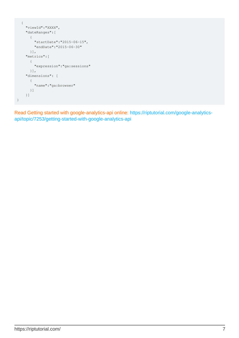```
 {
     "viewId":"XXXX",
     "dateRanges":[
     \{ "startDate":"2015-06-15",
         "endDate":"2015-06-30"
      }],
     "metrics":[
       {
         "expression":"ga:sessions"
      }],
     "dimensions": [
       {
         "name":"ga:browser"
      }]
     }]
}
```
Read Getting started with google-analytics-api online: [https://riptutorial.com/google-analytics](https://riptutorial.com/google-analytics-api/topic/7253/getting-started-with-google-analytics-api)[api/topic/7253/getting-started-with-google-analytics-api](https://riptutorial.com/google-analytics-api/topic/7253/getting-started-with-google-analytics-api)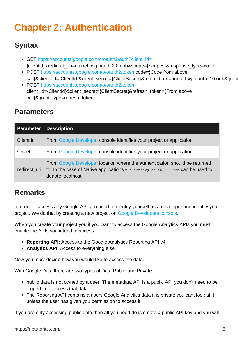## <span id="page-10-0"></span>**Chapter 2: Authentication**

### <span id="page-10-1"></span>**Syntax**

- GET [https://accounts.google.com/o/oauth2/auth?client\\_id=](https://accounts.google.com/o/oauth2/auth?client_id=) {clientid}&redirect\_uri=urn:ietf:wg:oauth:2.0:oob&scope={Scopes}&response\_type=code
- POST<https://accounts.google.com/o/oauth2/token> code={Code from above call}&client\_id={ClientId}&client\_secret={ClientSecret}&redirect\_uri=urn:ietf:wg:oauth:2.0:oob&grant
- POST<https://accounts.google.com/o/oauth2/token> client\_id={ClientId}&client\_secret={ClientSecret}&refresh\_token={From above call}&grant\_type=refresh\_token

### <span id="page-10-2"></span>**Parameters**

| <b>Parameter</b> | <b>Description</b>                                                                                                                                                                   |
|------------------|--------------------------------------------------------------------------------------------------------------------------------------------------------------------------------------|
| Client Id        | From Google Developer console identifies your project or application                                                                                                                 |
| secret           | From Google Developer console identifies your project or application                                                                                                                 |
| redirect uri     | From Google Developer location where the authentication should be returned<br>to. In the case of Native applications $unristify$ : $out1:2.0:odd$ can be used to<br>denote localhost |

### <span id="page-10-3"></span>**Remarks**

In order to access any Google API you need to identify yourself as a developer and identify your project. We do that by creating a new project on [Google Developers console.](https://console.developers.google.com/iam-admin/projects?authuser=0)

When you create your project you if you want to access the Google Analytics APIs you must enable the APIs you intend to access.

- **Reporting API**: Access to the Google Analytics Reporting API v4.
- **Analytics API**: Access to everything else.

Now you must decide how you would like to access the data.

With Google Data there are two types of Data Public and Private.

- public data is not owned by a user. The metadata API is a public API you don't need to be logged in to access that data.
- The Reporting API contains a users Google Analytics data it is private you cant look at it unless the user has given you permission to access it.

If you are only accessing public data then all you need do is create a public API key and you will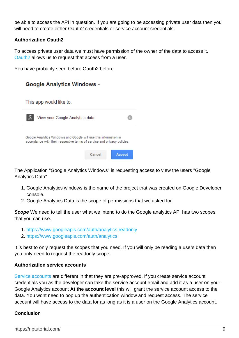be able to access the API in question. If you are going to be accessing private user data then you will need to create either Oauth2 credentials or service account credentials.

#### **Authorization Oauth2**

To access private user data we must have permission of the owner of the data to access it. [Oauth2](https://developers.google.com/identity/protocols/OAuth2) allows us to request that access from a user.

You have probably seen before Oauth2 before.



The Application "Google Analytics Windows" is requesting access to view the users "Google Analytics Data"

- Google Analytics windows is the name of the project that was created on Google Developer 1. console.
- 2. Google Analytics Data is the scope of permissions that we asked for.

**Scope** We need to tell the user what we intend to do the Google analytics API has two scopes that you can use.

- 1.<https://www.googleapis.com/auth/analytics.readonly>
- 2.<https://www.googleapis.com/auth/analytics>

It is best to only request the scopes that you need. If you will only be reading a users data then you only need to request the readonly scope.

#### **Authorization service accounts**

[Service accounts](https://developers.google.com/identity/protocols/OAuth2ServiceAccount) are different in that they are pre-approved. If you create service account credentials you as the developer can take the service account email and add it as a user on your Google Analytics account **At the account level** this will grant the service account access to the data. You wont need to pop up the authentication window and request access. The service account will have access to the data for as long as it is a user on the Google Analytics account.

#### **Conclusion**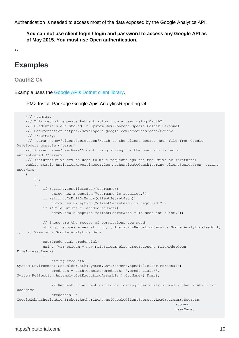Authentication is needed to access most of the data exposed by the Google Analytics API.

**You can not use client login / login and password to access any Google API as of May 2015. You must use Open authentication.**

\*\*

### <span id="page-12-0"></span>**Examples**

<span id="page-12-1"></span>**Oauth2 C#**

Example uses the [Google APIs Dotnet client library](https://developers.google.com/api-client-library/dotnet/).

PM> Install-Package Google.Apis.AnalyticsReporting.v4

```
 /// <summary>
      /// This method requests Authentcation from a user using Oauth2.
      /// Credentials are stored in System.Environment.SpecialFolder.Personal
     /// Documentation https://developers.google.com/accounts/docs/OAuth2
     /// </summary>
     /// <param name="clientSecretJson">Path to the client secret json file from Google
Developers console.</param>
      /// <param name="userName">Identifying string for the user who is being
authentcated.</param>
    /// <returns>DriveService used to make requests against the Drive API</returns>
     public static AnalyticsReportingService AuthenticateOauth(string clientSecretJson, string
userName)
     {
           try
\left\{ \begin{array}{cc} 0 & 0 \\ 0 & 0 \end{array} \right\} if (string.IsNullOrEmpty(userName))
                     throw new Exception("userName is required.");
                if (string.IsNullOrEmpty(clientSecretJson))
                    throw new Exception("clientSecretJson is required.");
                if (!File.Exists(clientSecretJson))
                     throw new Exception("clientSecretJson file does not exist.");
                // These are the scopes of permissions you need.
                string[] scopes = new string[] { AnalyticsReportingService.Scope.AnalyticsReadonly
}; // View your Google Analytics Data
                UserCredential credential;
                using (var stream = new FileStream(clientSecretJson, FileMode.Open,
FileAccess.Read))
\left\{ \begin{array}{cc} 0 & 0 & 0 \\ 0 & 0 & 0 \\ 0 & 0 & 0 \\ 0 & 0 & 0 \\ 0 & 0 & 0 \\ 0 & 0 & 0 \\ 0 & 0 & 0 \\ 0 & 0 & 0 \\ 0 & 0 & 0 \\ 0 & 0 & 0 \\ 0 & 0 & 0 & 0 \\ 0 & 0 & 0 & 0 \\ 0 & 0 & 0 & 0 \\ 0 & 0 & 0 & 0 & 0 \\ 0 & 0 & 0 & 0 & 0 \\ 0 & 0 & 0 & 0 & 0 \\ 0 & 0 & 0 & 0 & 0 & 0 \\ 0 & 0 & 0 & 0 & 0 & 0 \\ 0 string credPath =
System.Environment.GetFolderPath(System.Environment.SpecialFolder.Personal);
                     credPath = Path.Combine(credPath, ".credentials/",
System.Reflection.Assembly.GetExecutingAssembly().GetName().Name);
                     // Requesting Authentication or loading previously stored authentication for
userName
                     credential =
GoogleWebAuthorizationBroker.AuthorizeAsync(GoogleClientSecrets.Load(stream).Secrets,
scopes, the contract of \mathbb{R}^n is the contract of \mathbb{R}^n is the contract of \mathbb{R}^n is the contract of \mathbb{R}^n userName,
```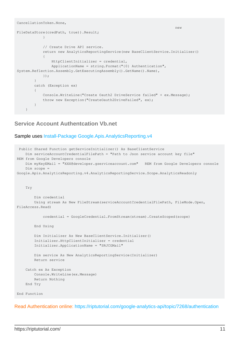```
CancellationToken.None,
new the contract of the contract of the contract of the contract of the contract of the contract of the contract of the contract of the contract of the contract of the contract of the contract of the contract of the contra
FileDataStore(credPath, true)).Result;
                      }
                       // Create Drive API service.
                       return new AnalyticsReportingService(new BaseClientService.Initializer()
\left\{ \begin{array}{cc} 0 & 0 & 0 \\ 0 & 0 & 0 \\ 0 & 0 & 0 \\ 0 & 0 & 0 \\ 0 & 0 & 0 \\ 0 & 0 & 0 \\ 0 & 0 & 0 \\ 0 & 0 & 0 \\ 0 & 0 & 0 \\ 0 & 0 & 0 \\ 0 & 0 & 0 & 0 \\ 0 & 0 & 0 & 0 \\ 0 & 0 & 0 & 0 \\ 0 & 0 & 0 & 0 & 0 \\ 0 & 0 & 0 & 0 & 0 \\ 0 & 0 & 0 & 0 & 0 \\ 0 & 0 & 0 & 0 & 0 & 0 \\ 0 & 0 & 0 & 0 & 0 & 0 \\ 0 HttpClientInitializer = credential,
                              ApplicationName = string.Format("{0} Authentication",
System.Reflection.Assembly.GetExecutingAssembly().GetName().Name),
                       });
               }
               catch (Exception ex)
               {
                      Console.WriteLine("Create Oauth2 DriveService failed" + ex.Message);
                      throw new Exception("CreateOauth2DriveFailed", ex);
               }
        }
```
### <span id="page-13-0"></span>**Service Account Authentcation Vb.net**

#### Sample uses [Install-Package Google.Apis.AnalyticsReporting.v4](https://www.nuget.org/packages/Google.Apis.AnalyticsReporting.v4/)

```
 Public Shared Function getServiceInitializer() As BaseClientService
    Dim serviceAccountCredentialFilePath = "Path to Json service account key file"
REM from Google Developers console
    Dim myKeyEMail = "XXX@developer.gserviceaccount.com" REM from Google Developers console
     Dim scope =
Google.Apis.AnalyticsReporting.v4.AnalyticsReportingService.Scope.AnalyticsReadonly
    Try
         Dim credential
         Using stream As New FileStream(serviceAccountCredentialFilePath, FileMode.Open,
FileAccess.Read)
             credential = GoogleCredential.FromStream(stream).CreateScoped(scope)
         End Using
         Dim Initializer As New BaseClientService.Initializer()
         Initializer.HttpClientInitializer = credential
         Initializer.ApplicationName = "SRJCGMail"
         Dim service As New AnalyticsReportingService(Initializer)
         Return service
     Catch ex As Exception
        Console.WriteLine(ex.Message)
        Return Nothing
     End Try
End Function
```
Read Authentication online:<https://riptutorial.com/google-analytics-api/topic/7268/authentication>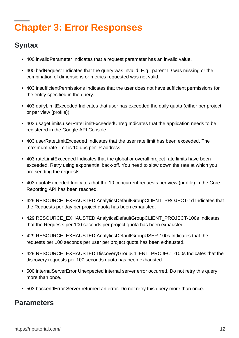## <span id="page-14-0"></span>**Chapter 3: Error Responses**

### <span id="page-14-1"></span>**Syntax**

- 400 invalidParameter Indicates that a request parameter has an invalid value.
- 400 badRequest Indicates that the query was invalid. E.g., parent ID was missing or the combination of dimensions or metrics requested was not valid.
- 403 insufficientPermissions Indicates that the user does not have sufficient permissions for the entity specified in the query.
- 403 dailyLimitExceeded Indicates that user has exceeded the daily quota (either per project or per view (profile)).
- 403 usageLimits.userRateLimitExceededUnreg Indicates that the application needs to be registered in the Google API Console.
- 403 userRateLimitExceeded Indicates that the user rate limit has been exceeded. The maximum rate limit is 10 qps per IP address.
- 403 rateLimitExceeded Indicates that the global or overall project rate limits have been exceeded. Retry using exponential back-off. You need to slow down the rate at which you are sending the requests.
- 403 quotaExceeded Indicates that the 10 concurrent requests per view (profile) in the Core Reporting API has been reached.
- 429 RESOURCE\_EXHAUSTED AnalyticsDefaultGroupCLIENT\_PROJECT-1d Indicates that the Requests per day per project quota has been exhausted.
- 429 RESOURCE\_EXHAUSTED AnalyticsDefaultGroupCLIENT\_PROJECT-100s Indicates that the Requests per 100 seconds per project quota has been exhausted.
- 429 RESOURCE\_EXHAUSTED AnalyticsDefaultGroupUSER-100s Indicates that the requests per 100 seconds per user per project quota has been exhausted.
- 429 RESOURCE\_EXHAUSTED DiscoveryGroupCLIENT\_PROJECT-100s Indicates that the discovery requests per 100 seconds quota has been exhausted.
- 500 internalServerError Unexpected internal server error occurred. Do not retry this query more than once.
- 503 backendError Server returned an error. Do not retry this query more than once.

### <span id="page-14-2"></span>**Parameters**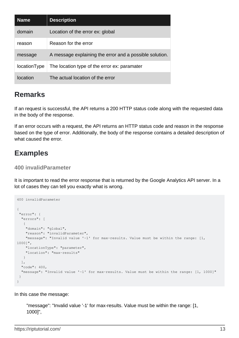| <b>Name</b>  | <b>Description</b>                                      |
|--------------|---------------------------------------------------------|
| domain       | Location of the error ex: global                        |
| reason       | Reason for the error                                    |
| message      | A message explaining the error and a possible solution. |
| locationType | The location type of the error ex: paramater            |
| Iocation     | The actual location of the error                        |

### <span id="page-15-0"></span>**Remarks**

If an request is successful, the API returns a 200 HTTP status code along with the requested data in the body of the response.

If an error occurs with a request, the API returns an HTTP status code and reason in the response based on the type of error. Additionally, the body of the response contains a detailed description of what caused the error.

### <span id="page-15-1"></span>**Examples**

### <span id="page-15-2"></span>**400 invalidParameter**

It is important to read the error response that is returned by the Google Analytics API server. In a lot of cases they can tell you exactly what is wrong.

```
400 invalidParameter
{
  "error": {
   "errors": [
\left\{\begin{array}{ccc} \end{array}\right. "domain": "global",
     "reason": "invalidParameter",
     "message": "Invalid value '-1' for max-results. Value must be within the range: [1,
1000]",
     "locationType": "parameter",
     "location": "max-results"
    }
  ],
   "code": 400,
   "message": "Invalid value '-1' for max-results. Value must be within the range: [1, 1000]"
 }
}
```
In this case the message:

```
"message": "Invalid value '-1' for max-results. Value must be within the range: [1,
1000]",
```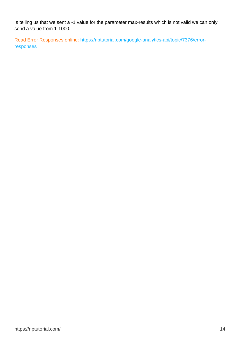Is telling us that we sent a -1 value for the parameter max-results which is not valid we can only send a value from 1-1000.

Read Error Responses online: [https://riptutorial.com/google-analytics-api/topic/7376/error](https://riptutorial.com/google-analytics-api/topic/7376/error-responses)[responses](https://riptutorial.com/google-analytics-api/topic/7376/error-responses)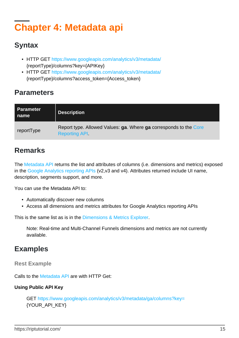## <span id="page-17-0"></span>**Chapter 4: Metadata api**

### <span id="page-17-1"></span>**Syntax**

- HTTP GET <https://www.googleapis.com/analytics/v3/metadata/> {reportType}/columns?key={APIKey}
- HTTP GET <https://www.googleapis.com/analytics/v3/metadata/> {reportType}/columns?access\_token={Access\_token}

### <span id="page-17-2"></span>**Parameters**

| <b>Parameter</b><br>∣ name | <b>Description</b>                                                                        |
|----------------------------|-------------------------------------------------------------------------------------------|
| reportType                 | Report type. Allowed Values: ga. Where ga corresponds to the Core<br><b>Reporting API</b> |

### <span id="page-17-3"></span>**Remarks**

The [Metadata API](https://developers.google.com/analytics/devguides/reporting/metadata/v3/) returns the list and attributes of columns (i.e. dimensions and metrics) exposed in the [Google Analytics reporting APIs](https://developers.google.com/analytics/devguides/reporting/core/v3/) (v2,v3 and v4). Attributes returned include UI name, description, segments support, and more.

You can use the Metadata API to:

- Automatically discover new columns
- Access all dimensions and metrics attributes for Google Analytics reporting APIs

This is the same list as is in the [Dimensions & Metrics Explorer](https://developers.google.com/analytics/devguides/reporting/core/dimsmets).

Note: Real-time and Multi-Channel Funnels dimensions and metrics are not currently available.

### <span id="page-17-4"></span>**Examples**

<span id="page-17-5"></span>**Rest Example**

Calls to the [Metadata API](https://developers.google.com/analytics/devguides/reporting/metadata/v3/) are with HTTP Get:

### **Using Public API Key**

GET<https://www.googleapis.com/analytics/v3/metadata/ga/columns?key=> {YOUR\_API\_KEY}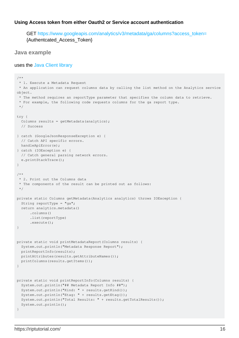#### **Using Access token from either Oauth2 or Service account authentication**

GET [https://www.googleapis.com/analytics/v3/metadata/ga/columns?access\\_token=](https://www.googleapis.com/analytics/v3/metadata/ga/columns?access_token=) {Authentcated\_Access\_Token}

#### <span id="page-18-0"></span>**Java example**

#### uses the [Java Client library](https://developers.google.com/api-client-library/java/)

```
/**
 * 1. Execute a Metadata Request
  * An application can request columns data by calling the list method on the Analytics service
object.
  * The method requires an reportType parameter that specifies the column data to retrieve.
 * For example, the following code requests columns for the ga report type.
 */
try {
   Columns results = getMetadata(analytics);
   // Success
} catch (GoogleJsonResponseException e) {
  // Catch API specific errors.
  handleApiError(e);
} catch (IOException e) {
   // Catch general parsing network errors.
   e.printStackTrace();
}
/**
  * 2. Print out the Columns data
  * The components of the result can be printed out as follows:
  */
private static Columns getMetadata(Analytics analytics) throws IOException {
   String reportType = "ga";
   return analytics.metadata()
      .columns()
      .list(reportType)
       .execute();
}
private static void printMetadataReport(Columns results) {
  System.out.println("Metadata Response Report");
  printReportInfo(results);
  printAttributes(results.getAttributeNames());
   printColumns(results.getItems());
}
private static void printReportInfo(Columns results) {
   System.out.println("## Metadata Report Info ##");
   System.out.println("Kind: " + results.getKind());
   System.out.println("Etag: " + results.getEtag());
   System.out.println("Total Results: " + results.getTotalResults());
   System.out.println();
}
```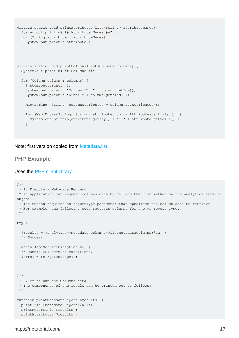```
private static void printAttributes(List<String> attributeNames) {
   System.out.println("## Attribute Names ##");
   for (String attribute : attributeNames) {
     System.out.println(attribute);
 }
}
private static void printColumns(List<Column> columns) {
   System.out.println("## Columns ##");
   for (Column column : columns) {
     System.out.println();
     System.out.println("Column ID: " + column.getId());
     System.out.println("Kind: " + column.getKind());
    Map<String, String> columnAttributes = column.getAttributes();
     for (Map.Entry<String, String> attribute: columnAttributes.entrySet()) {
      System.out.println(attribute.getKey() + ": " + attribute.getValue());
     }
   }
}
```
<span id="page-19-0"></span>Note: first version copied from [Metadata.list](https://developers.google.com/analytics/devguides/reporting/metadata/v3/reference/metadata/columns/list)

#### **PHP Example**

#### Uses the [PHP client library](https://github.com/google/google-api-php-client)

```
/**
  * 1. Execute a Metadata Request
 * An application can request columns data by calling the list method on the Analytics service
object.
  * The method requires an reportType parameter that specifies the column data to retrieve.
  * For example, the following code requests columns for the ga report type.
  */
try {
   $results = $analytics->metadata_columns->listMetadataColumns('ga');
   // Success
} catch (apiServiceException $e) {
   // Handle API service exceptions.
   $error = $e->getMessage();
}
/**
  * 2. Print out the Columns data
  * The components of the result can be printed out as follows:
  */
function printMetadataReport($results) {
  print '<h1>Metadata Report</h1>';
   printReportInfo($results);
  printAttributes($results);
```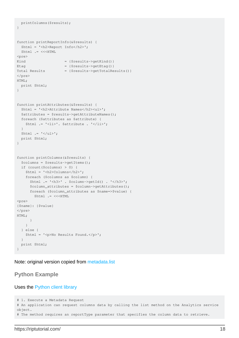```
 printColumns($results);
}
function printReportInfo(&$results) {
  $html = '<h2>Report Info</h2>';
  $html .= <<<HTML
<pre>
Kind = {$results->getKind()}
Etag = {$results->getEtag()}
Total Results = {$results->getTotalResults()}
</pre>
HTML;
  print $html;
}
function printAttributes(&$results) {
  $html = '<h2>Attribute Names</h2><ul>';
  $attributes = $results->getAttributeNames();
  foreach ($attributes as $attribute) {
    $html .= '<li>'. $attribute . '</li>';
  }
 $html = '</u>/ul>'; print $html;
}
function printColumns(&$results) {
  $columns = $results->getItems();
  if (count($columns) > 0) {
    $html = '<h2>Columns</h2>';
    foreach ($columns as $column) {
      $html .= '<h3>' . $column->getId() . '</h3>';
      $column_attributes = $column->getAttributes();
       foreach ($column_attributes as $name=>$value) {
       $html .= <<<HTML
<pre>
{$name}: {$value}
</pre>
HTML;
       }
    }
  } else {
    $html = '<p>No Results Found.</p>';
  }
  print $html;
}
```
<span id="page-20-0"></span>Note: original version copied from [metadata.list](https://developers.google.com/analytics/devguides/reporting/metadata/v3/reference/metadata/columns/list)

### **Python Example**

#### Uses the [Python client library](https://developers.google.com/api-client-library/python/)

```
# 1. Execute a Metadata Request
# An application can request columns data by calling the list method on the Analytics service
object.
# The method requires an reportType parameter that specifies the column data to retrieve.
```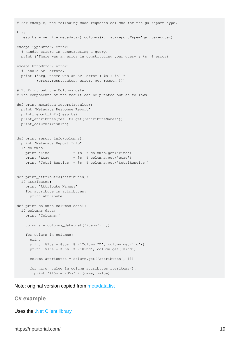```
# For example, the following code requests columns for the ga report type.
try:
  results = service.metadata().columns().list(reportType='ga').execute()
except TypeError, error:
   # Handle errors in constructing a query.
  print ('There was an error in constructing your query : %s' % error)
except HttpError, error:
   # Handle API errors.
  print ('Arg, there was an API error : %s : %s' %
          (error.resp.status, error._get_reason()))
# 2. Print out the Columns data
# The components of the result can be printed out as follows:
def print_metadata_report(results):
  print 'Metadata Response Report'
  print_report_info(results)
  print_attributes(results.get('attributeNames'))
  print_columns(results)
def print_report_info(columns):
  print "Metadata Report Info"
  if columns:
   print 'Kind = %s' % columns.get('kind')
   print 'Etag = %s' % columns.get('etag')
    print 'Total Results = %s' % columns.get('totalResults')
def print_attributes(attributes):
  if attributes:
    print 'Attribute Names:'
     for attribute in attributes:
      print attribute
def print_columns(columns_data):
  if columns_data:
    print 'Columns:'
    columns = columns_data.get('items', [])
    for column in columns:
      print
     print '%15s = %35s' % ('Column ID', column.get('id'))
      print '%15s = %35s' % ('Kind', column.get('kind'))
      column_attributes = column.get('attributes', [])
       for name, value in column_attributes.iteritems():
        print '%15s = %35s' % (name, value)
```
<span id="page-21-0"></span>Note: original version copied from [metadata.list](https://developers.google.com/analytics/devguides/reporting/metadata/v3/reference/metadata/columns/list)

#### **C# example**

Uses the [.Net Client library](https://github.com/google/google-api-dotnet-client)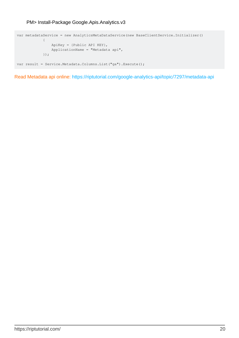PM> Install-Package Google.Apis.Analytics.v3

```
var metadataService = new AnalyticsMetaDataService(new BaseClientService.Initializer()
\left\{ \begin{array}{cc} 0 & 0 & 0 \\ 0 & 0 & 0 \\ 0 & 0 & 0 \\ 0 & 0 & 0 \\ 0 & 0 & 0 \\ 0 & 0 & 0 \\ 0 & 0 & 0 \\ 0 & 0 & 0 \\ 0 & 0 & 0 \\ 0 & 0 & 0 \\ 0 & 0 & 0 & 0 \\ 0 & 0 & 0 & 0 \\ 0 & 0 & 0 & 0 \\ 0 & 0 & 0 & 0 & 0 \\ 0 & 0 & 0 & 0 & 0 \\ 0 & 0 & 0 & 0 & 0 \\ 0 & 0 & 0 & 0 & 0 & 0 \\ 0 & 0 & 0 & 0 & 0 & 0 \\ 0 ApiKey = {Public API KEY},
                                      ApplicationName = "Metadata api",
                             });
var result = Service.Metadata.Columns.List("ga").Execute();
```
Read Metadata api online:<https://riptutorial.com/google-analytics-api/topic/7297/metadata-api>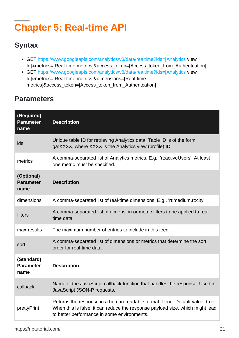## <span id="page-23-0"></span>**Chapter 5: Real-time API**

### <span id="page-23-1"></span>**Syntax**

- GET [https://www.googleapis.com/analytics/v3/data/realtime?ids=\[Analytics](https://www.googleapis.com/analytics/v3/data/realtime?ids=%5BAnalytics) view Id]&metrics=[Real-time metrics]&access\_token=[Access\_token\_from\_Authentcation]
- GET [https://www.googleapis.com/analytics/v3/data/realtime?ids=\[Analytics](https://www.googleapis.com/analytics/v3/data/realtime?ids=%5BAnalytics) view Id]&metrics=[Real-time metrics]&dimensions=[Real-time metrics]&access\_token=[Access\_token\_from\_Authentcation]

### <span id="page-23-2"></span>**Parameters**

| (Required)<br><b>Parameter</b><br>name | <b>Description</b>                                                                                                                                                                                            |
|----------------------------------------|---------------------------------------------------------------------------------------------------------------------------------------------------------------------------------------------------------------|
| ids                                    | Unique table ID for retrieving Analytics data. Table ID is of the form<br>ga:XXXX, where XXXX is the Analytics view (profile) ID.                                                                             |
| metrics                                | A comma-separated list of Analytics metrics. E.g., 'rt:activeUsers'. At least<br>one metric must be specified.                                                                                                |
| (Optional)<br><b>Parameter</b><br>name | <b>Description</b>                                                                                                                                                                                            |
| dimensions                             | A comma-separated list of real-time dimensions. E.g., 'rt:medium,rt:city'.                                                                                                                                    |
| filters                                | A comma-separated list of dimension or metric filters to be applied to real-<br>time data.                                                                                                                    |
| max-results                            | The maximum number of entries to include in this feed.                                                                                                                                                        |
| sort                                   | A comma-separated list of dimensions or metrics that determine the sort<br>order for real-time data.                                                                                                          |
| (Standard)<br><b>Parameter</b><br>name | <b>Description</b>                                                                                                                                                                                            |
| callback                               | Name of the JavaScript callback function that handles the response. Used in<br>JavaScript JSON-P requests.                                                                                                    |
| prettyPrint                            | Returns the response in a human-readable format if true. Default value: true.<br>When this is false, it can reduce the response payload size, which might lead<br>to better performance in some environments. |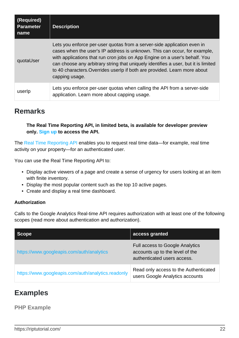| (Required)<br><b>Parameter</b><br>name | <b>Description</b>                                                                                                                                                                                                                                                                                                                                                                                                      |
|----------------------------------------|-------------------------------------------------------------------------------------------------------------------------------------------------------------------------------------------------------------------------------------------------------------------------------------------------------------------------------------------------------------------------------------------------------------------------|
| quotaUser                              | Lets you enforce per-user quotas from a server-side application even in<br>cases when the user's IP address is unknown. This can occur, for example,<br>with applications that run cron jobs on App Engine on a user's behalf. You<br>can choose any arbitrary string that uniquely identifies a user, but it is limited<br>to 40 characters. Overrides userlp if both are provided. Learn more about<br>capping usage. |
| userlp                                 | Lets you enforce per-user quotas when calling the API from a server-side<br>application. Learn more about capping usage.                                                                                                                                                                                                                                                                                                |

### <span id="page-24-0"></span>**Remarks**

**The Real Time Reporting API, in limited beta, is available for developer preview only. [Sign up](https://docs.google.com/forms/d/e/1FAIpQLSc9OpoDGB3tBD7oy1OG9fyum8KBIxs-2ihPCsHp13WTnM-SSQ/viewform) to access the API.**

The [Real Time Reporting API](https://developers.google.com/analytics/devguides/reporting/realtime/v3/) enables you to request real time data—for example, real time activity on your property—for an authenticated user.

You can use the Real Time Reporting API to:

- Display active viewers of a page and create a sense of urgency for users looking at an item with finite inventory.
- Display the most popular content such as the top 10 active pages.
- Create and display a real time dashboard.

### **Authorization**

Calls to the Google Analytics Real-time API requires authorization with at least one of the following scopes (read more about authentication and authorization).

| Scope                                              | access granted                                                                                           |
|----------------------------------------------------|----------------------------------------------------------------------------------------------------------|
| https://www.googleapis.com/auth/analytics          | <b>Full access to Google Analytics</b><br>accounts up to the level of the<br>authenticated users access. |
| https://www.googleapis.com/auth/analytics.readonly | Read only access to the Authenticated<br>users Google Analytics accounts                                 |

### <span id="page-24-1"></span>**Examples**

### <span id="page-24-2"></span>**PHP Example**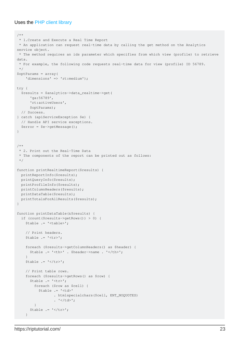#### Uses the [PHP client library](https://github.com/google/google-api-php-client)

```
/**
 * 1.Create and Execute a Real Time Report
 * An application can request real-time data by calling the get method on the Analytics
service object.
  * The method requires an ids parameter which specifies from which view (profile) to retrieve
data.
  * For example, the following code requests real-time data for view (profile) ID 56789.
 */
$optParams = array(
    'dimensions' => 'rt:medium');
try {
   $results = $analytics->data_realtime->get(
       'ga:56789',
       'rt:activeUsers',
       $optParams);
   // Success.
} catch (apiServiceException $e) {
  // Handle API service exceptions.
  $error = $e->getMessage();
}
/**
  * 2. Print out the Real-Time Data
  * The components of the report can be printed out as follows:
 */
function printRealtimeReport($results) {
  printReportInfo($results);
  printQueryInfo($results);
   printProfileInfo($results);
  printColumnHeaders($results);
  printDataTable($results);
   printTotalsForAllResults($results);
}
function printDataTable(&$results) {
   if (count($results->getRows()) > 0) {
     $table .= '<table>';
     // Print headers.
    $table := '\text{str}>';
     foreach ($results->getColumnHeaders() as $header) {
       $table .= '<th>' . $header->name . '</th>';
     }
    $table .= \frac{1}{\sqrt{t}} // Print table rows.
     foreach ($results->getRows() as $row) {
       $table .= '<tr>';
         foreach ($row as $cell) {
           $table .= '<td>'
                   . htmlspecialchars($cell, ENT_NOQUOTES)
                  . ' </td>';
         }
      $table .= \frac{1}{x} }
```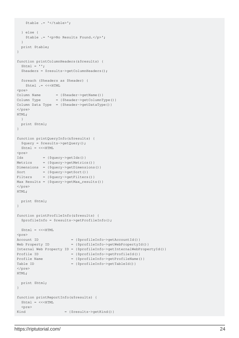```
 $table .= '</table>';
   } else {
    $table .= '<p>No Results Found.</p>';
   }
   print $table;
}
function printColumnHeaders(&$results) {
 $html = '';
   $headers = $results->getColumnHeaders();
   foreach ($headers as $header) {
    $html .= <<<HTML
<pre>
Column Name = {Sheader->getName() }Column Type = {Sheader - %getColumnType() }Column Data Type = {\{\text{Sheader} \text{--} \text{getDataType}\}}</pre>
HTML;
  }
  print $html;
}
function printQueryInfo(&$results) {
  $query = $results->getQuery();
 $html = <<HTM<pre>
Ids = { {query->getIds() }Metrics = {$query->getMetrics()}
Dimensions = {$query->getDimensions()}
Sort = {$query->getSort()}
Filters = {$query->getFilters()}
Max Results = {$query->getMax_results()}
</pre>
HTML;
  print $html;
}
function printProfileInfo(&$results) {
  $profileInfo = $results->getProfileInfo();
 $html = <<HTM<pre>
Account ID = {$profileInfo->getAccountId()}
Web Property ID = {\text{SprofileInfo->qetWebPropertyId()}}Internal Web Property ID = {$profileInfo->getInternalWebPropertyId()}
Profile ID = {$profileInfo->getProfileId()}
Profile Name = {$profileInfo->getProfileName()}
Table ID = {$profileInfo->getTableId()}
</pre>
HTML;
  print $html;
}
function printReportInfo(&$results) {
 $html = <<HTML <pre>
Kind = { {$results->qetKind() }
```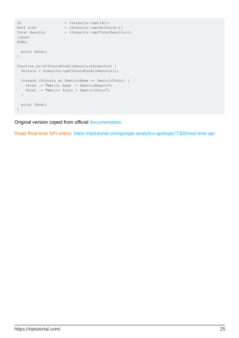```
ID = {\frac{\text{Sresults} - \text{SgetId}}{\text{I}}Self Link = {$results->getSelfLink()}
Total Results = {\frac{\text{S}results - \text{S}g_t}{\text{S}t}}</pre>
HTML;
  print $html;
}
function printTotalsForAllResults(&$results) {
  $totals = $results->getTotalsForAllResults();
  foreach ($totals as $metricName => $metricTotal) {
    $html .= "Metric Name = $metricName\n";
    $html .= "Metric Total = $metricTotal";
   }
  print $html;
}
```
Original version coped from official [documentation](https://developers.google.com/analytics/devguides/reporting/realtime/v3/reference/data/realtime/get)

Read Real-time API online:<https://riptutorial.com/google-analytics-api/topic/7305/real-time-api>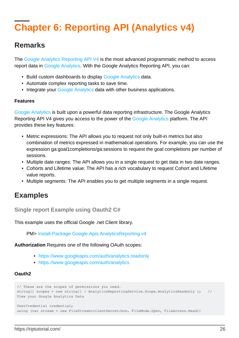## <span id="page-28-0"></span>**Chapter 6: Reporting API (Analytics v4)**

### <span id="page-28-1"></span>**Remarks**

The [Google Analytics Reporting API V4](https://developers.google.com/analytics/devguides/reporting/core/v4/) is the most advanced programmatic method to access report data in [Google Analytics](https://analytics.google.com/analytics/web). With the Google Analytics Reporting API, you can:

- Build custom dashboards to display [Google Analytics](https://analytics.google.com/analytics/web) data.
- Automate complex reporting tasks to save time.
- Integrate your [Google Analytics](https://analytics.google.com/analytics/web) data with other business applications.

#### **Features**

[Google Analytics](https://analytics.google.com/analytics/web) is built upon a powerful data reporting infrastructure. The Google Analytics Reporting API V4 gives you access to the power of the [Google Analytics](https://analytics.google.com/analytics/web) platform. The API provides these key features:

- Metric expressions: The API allows you to request not only built-in metrics but also combination of metrics expressed in mathematical operations. For example, you can use the expression ga:goal1completions/ga:sessions to request the goal completions per number of sessions.
- Multiple date ranges: The API allows you in a single request to get data in two date ranges.
- Cohorts and Lifetime value: The API has a rich vocabulary to request Cohort and Lifetime value reports.
- Multiple segments: The API enables you to get multiple segments in a single request.

### <span id="page-28-2"></span>**Examples**

<span id="page-28-3"></span>**Single report Example using Oauth2 C#**

This example uses the official Google .net Client library.

PM> [Install-Package Google.Apis.AnalyticsReporting.v4](https://www.nuget.org/packages/Google.Apis.AnalyticsReporting.v4/)

**Authorization** Requires one of the following OAuth scopes:

- <https://www.googleapis.com/auth/analytics.readonly>
- <https://www.googleapis.com/auth/analytics>

### **Oauth2**

```
// These are the scopes of permissions you need.
string[] scopes = new string[] { AnalyticsReportingService.Scope.AnalyticsReadonly }; //
View your Google Analytics Data
UserCredential credential;
using (var stream = new FileStream(clientSecretJson, FileMode.Open, FileAccess.Read))
```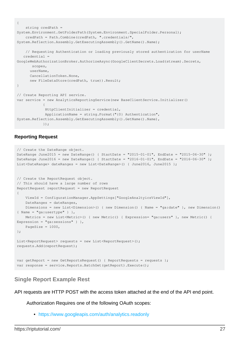```
{
      string credPath =
System.Environment.GetFolderPath(System.Environment.SpecialFolder.Personal);
      credPath = Path.Combine(credPath, ".credentials/",
System.Reflection.Assembly.GetExecutingAssembly().GetName().Name);
      // Requesting Authentication or loading previously stored authentication for userName
     credential =
GoogleWebAuthorizationBroker.AuthorizeAsync(GoogleClientSecrets.Load(stream).Secrets,
          scopes,
        userName,
         CancellationToken.None,
         new FileDataStore(credPath, true)).Result;
}
// Create Reporting API service.
var service = new AnalyticsReportingService(new BaseClientService.Initializer()
\left\{ \begin{array}{cc} 0 & 0 & 0 \\ 0 & 0 & 0 \\ 0 & 0 & 0 \\ 0 & 0 & 0 \\ 0 & 0 & 0 \\ 0 & 0 & 0 \\ 0 & 0 & 0 \\ 0 & 0 & 0 \\ 0 & 0 & 0 \\ 0 & 0 & 0 \\ 0 & 0 & 0 & 0 \\ 0 & 0 & 0 & 0 \\ 0 & 0 & 0 & 0 \\ 0 & 0 & 0 & 0 & 0 \\ 0 & 0 & 0 & 0 & 0 \\ 0 & 0 & 0 & 0 & 0 \\ 0 & 0 & 0 & 0 & 0 & 0 \\ 0 & 0 & 0 & 0 & 0 & 0 \\ 0 HttpClientInitializer = credential,
                   ApplicationName = string.Format("{0} Authentication",
System.Reflection.Assembly.GetExecutingAssembly().GetName().Name),
                  });
```
#### **Reporting Request**

```
// Create the DateRange object.
DateRange June2015 = new DateRange() { StartDate = "2015-01-01", EndDate = "2015-06-30" };
DateRange June2016 = new DateRange() { StartDate = "2016-01-01", EndDate = "2016-06-30" };
List<DateRange> dateRanges = new List<DateRange>() { June2016, June2015 };
// Create the ReportRequest object.
// This should have a large number of rows
ReportRequest reportRequest = new ReportRequest
{
    ViewId = ConfigurationManager.AppSettings["GoogleAnaltyicsViewId"],
    DateRanges = dateRanges,
    Dimensions = new List<Dimension>() { new Dimension() { Name = "ga:date" }, new Dimension()
{ Name = "ga:usertype" } },
    Metrics = new List<Metric>() { new Metric() { Expression= "ga:users" }, new Metric() {
Expression = "ga: sessions" } },
   PageSize = 1000,
};
List<ReportRequest> requests = new List<ReportRequest>();
requests.Add(reportRequest);
var getReport = new GetReportsRequest() { ReportRequests = requests };
var response = service.Reports.BatchGet(getReport).Execute();
```
### <span id="page-29-0"></span>**Single Report Example Rest**

API requests are HTTP POST with the access token attached at the end of the API end point.

Authorization Requires one of the following OAuth scopes:

• <https://www.googleapis.com/auth/analytics.readonly>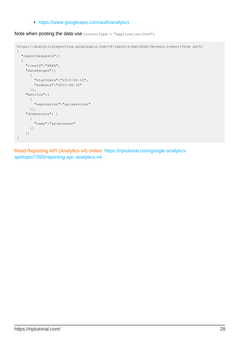• <https://www.googleapis.com/auth/analytics>

Note when posting the data use ContentType = "application/Json";

```
https://analyticsreporting.googleapis.com/v4/reports:batchGet?Access_token={from auth}
{
   "reportRequests":[
   {
     "viewId":"XXXX",
     "dateRanges":[
      {
         "startDate":"2015-06-15",
        "endDate":"2015-06-30"
      }],
     "metrics":[
       {
        "expression":"ga:sessions"
       }],
     "dimensions": [
       {
         "name":"ga:browser"
      }]
     }]
}
```
Read Reporting API (Analytics v4) online: [https://riptutorial.com/google-analytics](https://riptutorial.com/google-analytics-api/topic/7265/reporting-api--analytics-v4-)[api/topic/7265/reporting-api--analytics-v4-](https://riptutorial.com/google-analytics-api/topic/7265/reporting-api--analytics-v4-)